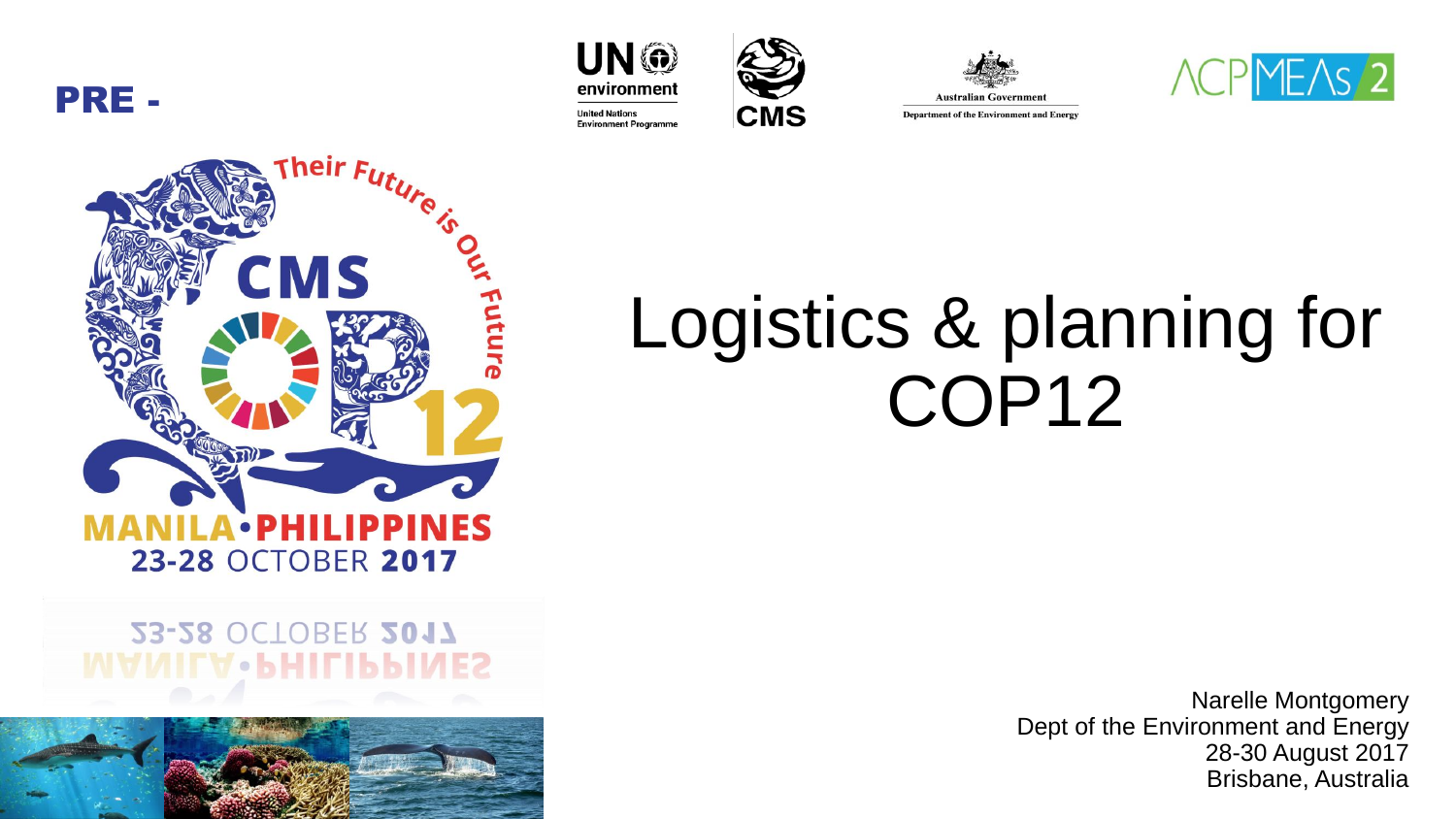PRE -









heir  $F$ CMS Futur **•PHILIPP** INES 23-28 OCTOBER 2017

#### 23-28 OCTOBER 2017 ІГV•ЬНІГІЬЬ



# Logistics & planning for COP12

Narelle Montgomery Dept of the Environment and Energy 28-30 August 2017 Brisbane, Australia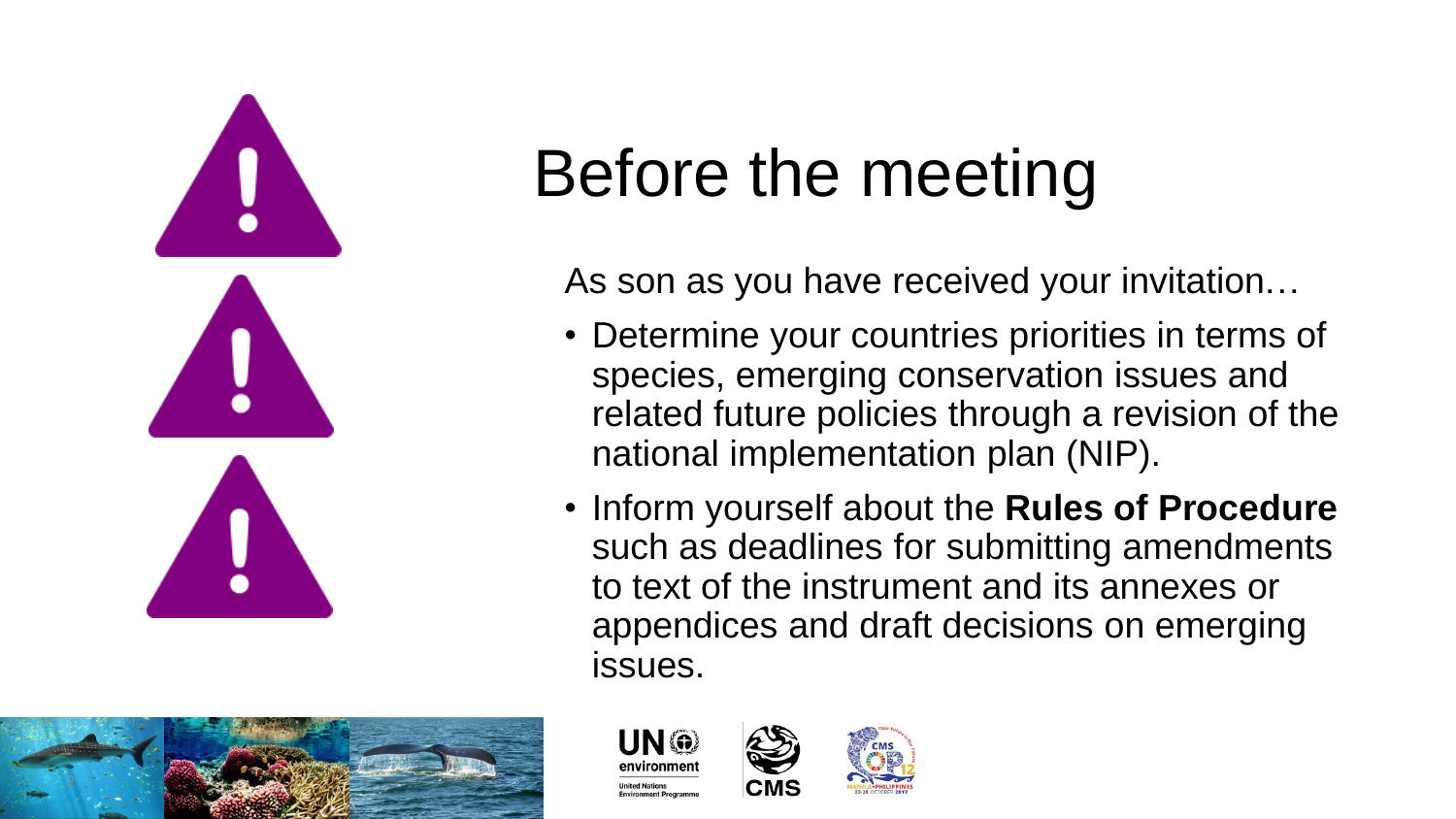

# Before the meeting

As son as you have received your invitation…

- Determine your countries priorities in terms of species, emerging conservation issues and related future policies through a revision of the national implementation plan (NIP).
- Inform yourself about the **Rules of Procedure** such as deadlines for submitting amendments to text of the instrument and its annexes or appendices and draft decisions on emerging issues.





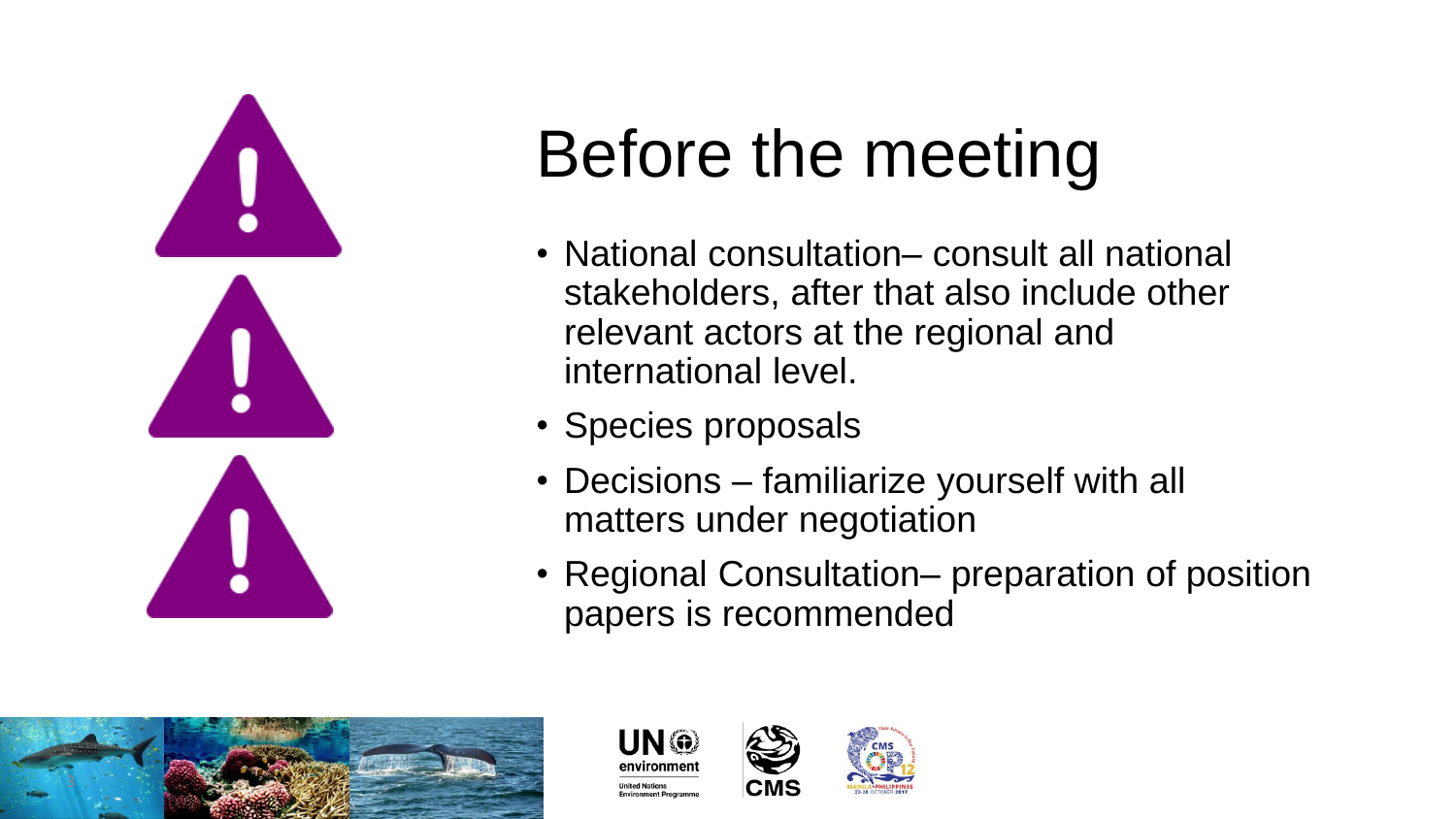

## Before the meeting

- National consultation– consult all national stakeholders, after that also include other relevant actors at the regional and international level.
- Species proposals
- Decisions familiarize yourself with all matters under negotiation
- Regional Consultation– preparation of position papers is recommended





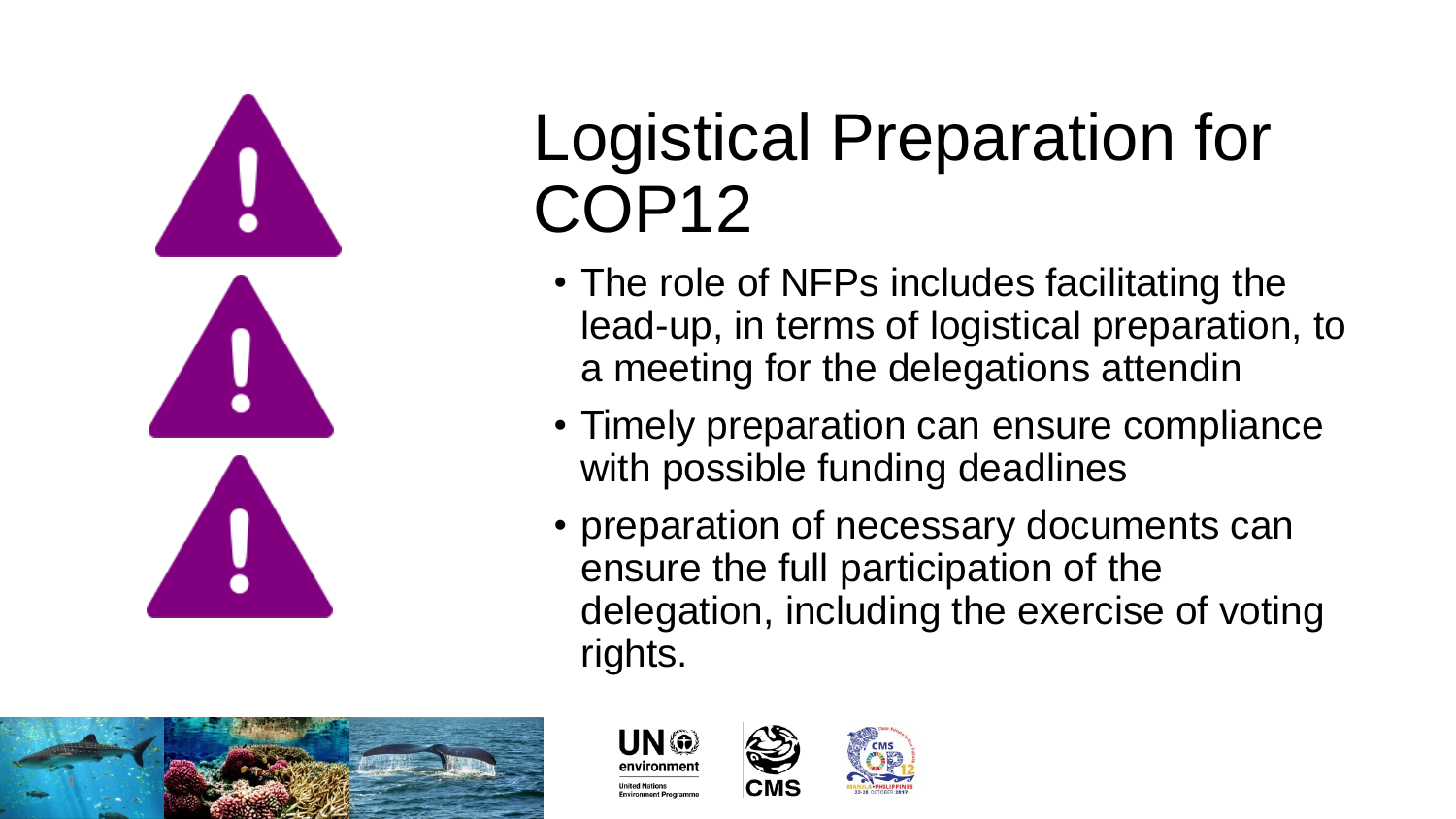

### Logistical Preparation for COP12

- The role of NFPs includes facilitating the lead -up, in terms of logistical preparation, to a meeting for the delegations attendin
- Timely preparation can ensure compliance with possible funding deadlines
- preparation of necessary documents can ensure the full participation of the delegation, including the exercise of voting rights.





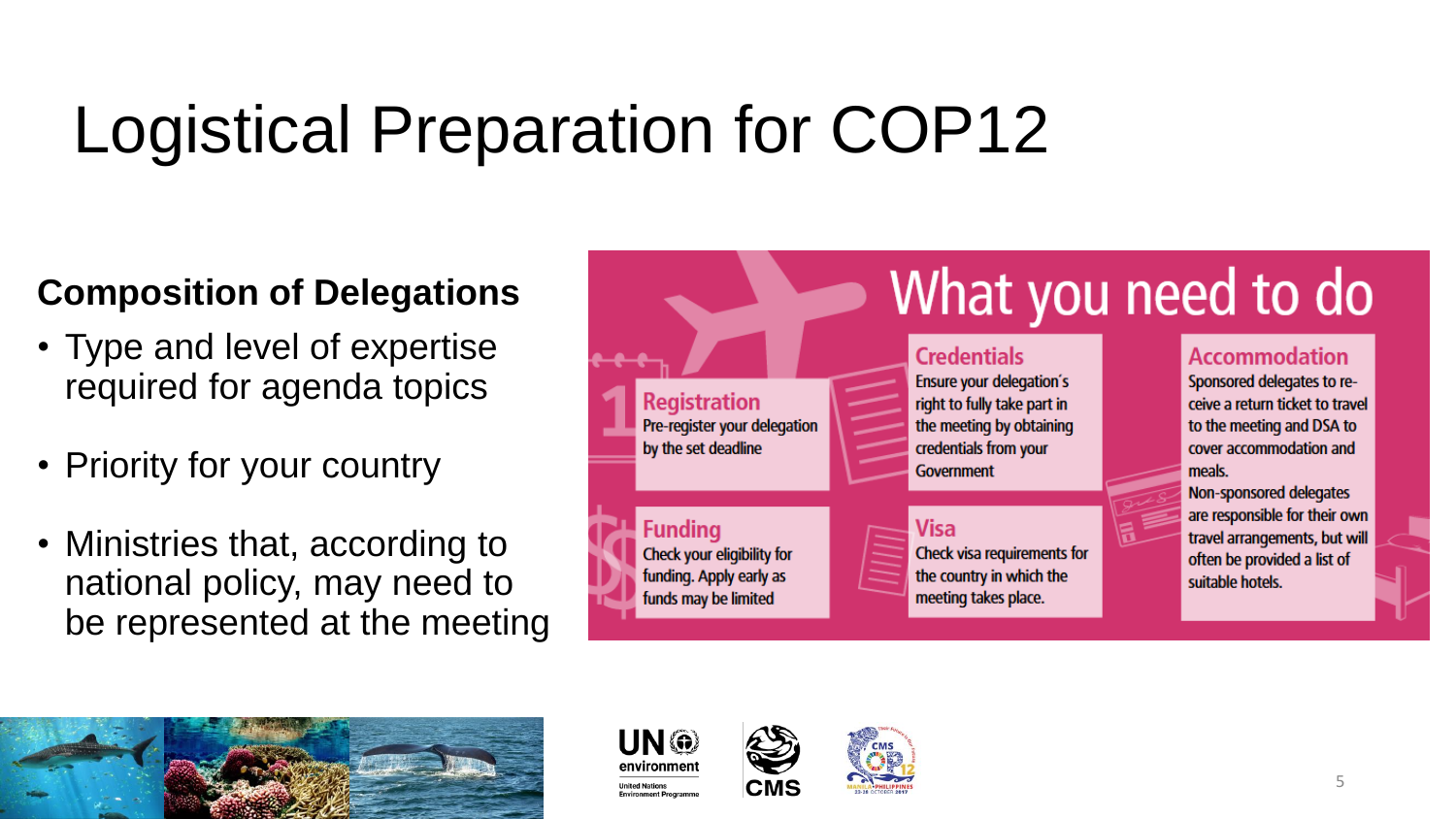### Logistical Preparation for COP12

#### **Composition of Delegations**

- Type and level of expertise required for agenda topics
- Priority for your country
- Ministries that, according to national policy, may need to be represented at the meeting











5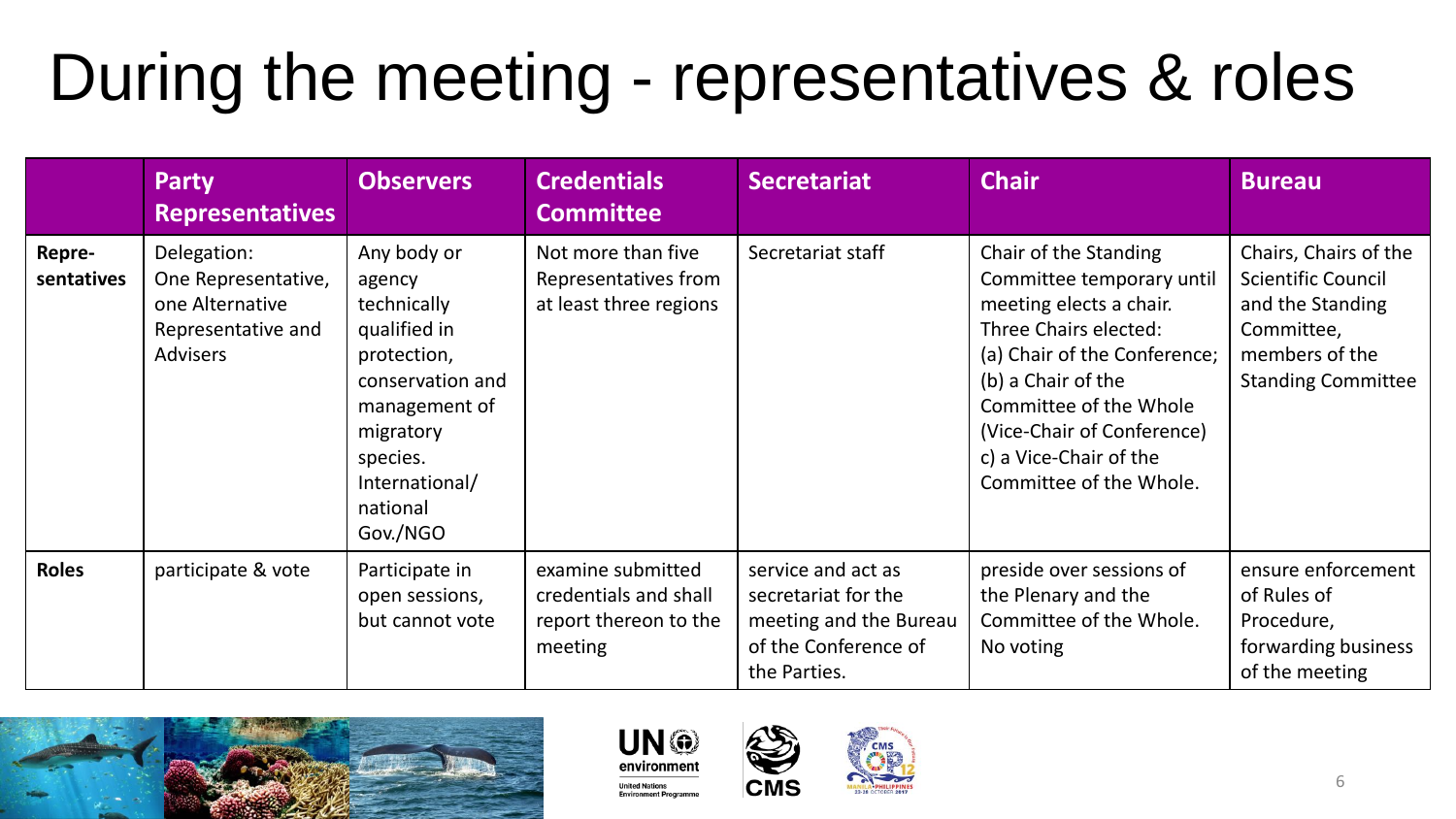### During the meeting - representatives & roles

|                      | <b>Party</b><br><b>Representatives</b>                                                         | <b>Observers</b>                                                                                                                                                            | <b>Credentials</b><br><b>Committee</b>                                         | <b>Secretariat</b>                                                                                          | <b>Chair</b>                                                                                                                                                                                                                                                              | <b>Bureau</b>                                                                                                                       |
|----------------------|------------------------------------------------------------------------------------------------|-----------------------------------------------------------------------------------------------------------------------------------------------------------------------------|--------------------------------------------------------------------------------|-------------------------------------------------------------------------------------------------------------|---------------------------------------------------------------------------------------------------------------------------------------------------------------------------------------------------------------------------------------------------------------------------|-------------------------------------------------------------------------------------------------------------------------------------|
| Repre-<br>sentatives | Delegation:<br>One Representative,<br>one Alternative<br>Representative and<br><b>Advisers</b> | Any body or<br>agency<br>technically<br>qualified in<br>protection,<br>conservation and<br>management of<br>migratory<br>species.<br>International/<br>national<br>Gov./NGO | Not more than five<br>Representatives from<br>at least three regions           | Secretariat staff                                                                                           | Chair of the Standing<br>Committee temporary until<br>meeting elects a chair.<br>Three Chairs elected:<br>(a) Chair of the Conference;<br>(b) a Chair of the<br>Committee of the Whole<br>(Vice-Chair of Conference)<br>c) a Vice-Chair of the<br>Committee of the Whole. | Chairs, Chairs of the<br><b>Scientific Council</b><br>and the Standing<br>Committee,<br>members of the<br><b>Standing Committee</b> |
| <b>Roles</b>         | participate & vote                                                                             | Participate in<br>open sessions,<br>but cannot vote                                                                                                                         | examine submitted<br>credentials and shall<br>report thereon to the<br>meeting | service and act as<br>secretariat for the<br>meeting and the Bureau<br>of the Conference of<br>the Parties. | preside over sessions of<br>the Plenary and the<br>Committee of the Whole.<br>No voting                                                                                                                                                                                   | ensure enforcement<br>of Rules of<br>Procedure,<br>forwarding business<br>of the meeting                                            |





**Environment Program** 

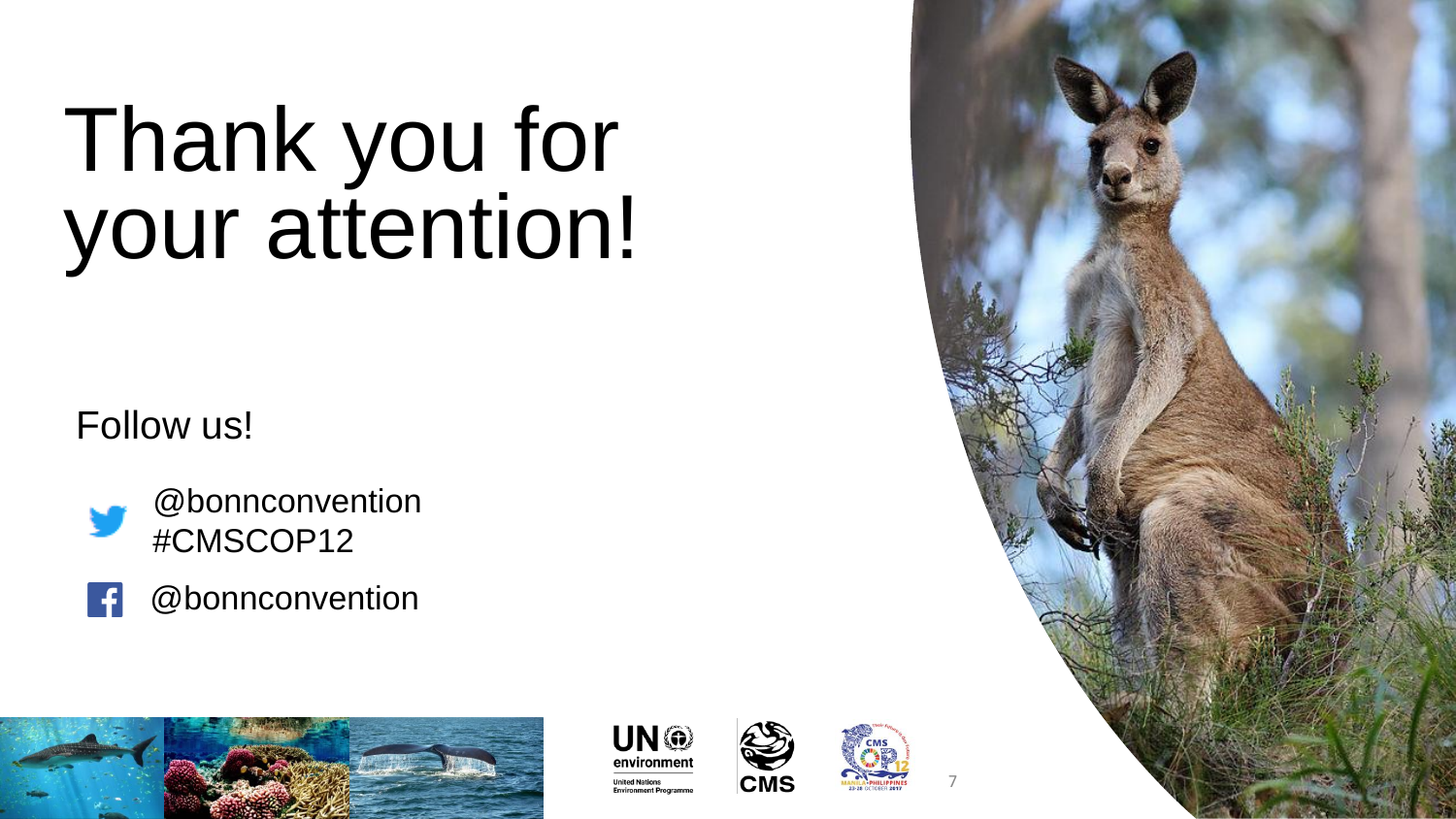# Thank you for your attention!

#### Follow us!